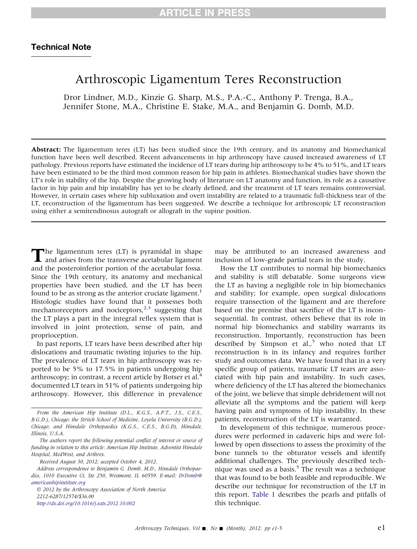# Arthroscopic Ligamentum Teres Reconstruction

Dror Lindner, M.D., Kinzie G. Sharp, M.S., P.A.-C., Anthony P. Trenga, B.A., Jennifer Stone, M.A., Christine E. Stake, M.A., and Benjamin G. Domb, M.D.

Abstract: The ligamentum teres (LT) has been studied since the 19th century, and its anatomy and biomechanical function have been well described. Recent advancements in hip arthroscopy have caused increased awareness of LT pathology. Previous reports have estimated the incidence of LT tears during hip arthroscopy to be 4% to 51%, and LT tears have been estimated to be the third most common reason for hip pain in athletes. Biomechanical studies have shown the LT's role in stability of the hip. Despite the growing body of literature on LT anatomy and function, its role as a causative factor in hip pain and hip instability has yet to be clearly defined, and the treatment of LT tears remains controversial. However, in certain cases where hip subluxation and overt instability are related to a traumatic full-thickness tear of the LT, reconstruction of the ligamentum has been suggested. We describe a technique for arthroscopic LT reconstruction using either a semitendinosus autograft or allograft in the supine position.

The ligamentum teres (LT) is pyramidal in shape<br>and arises from the transverse acetabular ligament<br>and the posteroinferior portion of the acetabular fossa.<br>Since the 19th century, its anatomy and mechanical and arises from the transverse acetabular ligament and the posteroinferior portion of the acetabular fossa. Since the 19th century, its anatomy and mechanical properties have been studied, and the LT has been found to be as strong as the anterior cruciate ligament.<sup>[1](#page-4-0)</sup> Histologic studies have found that it possesses both mechanoreceptors and nociceptors, $2,3$  suggesting that the LT plays a part in the integral reflex system that is involved in joint protection, sense of pain, and proprioception.

In past reports, LT tears have been described after hip dislocations and traumatic twisting injuries to the hip. The prevalence of LT tears in hip arthroscopy was reported to be 5% to 17.5% in patients undergoing hip arthroscopy; in contrast, a recent article by Botser et al.<sup>[4](#page-4-0)</sup> documented LT tears in 51% of patients undergoing hip arthroscopy. However, this difference in prevalence

 2012 by the Arthroscopy Association of North America 2212-6287/12574/\$36.00 <http://dx.doi.org/10.1016/j.eats.2012.10.002>

may be attributed to an increased awareness and inclusion of low-grade partial tears in the study.

How the LT contributes to normal hip biomechanics and stability is still debatable. Some surgeons view the LT as having a negligible role in hip biomechanics and stability; for example, open surgical dislocations require transection of the ligament and are therefore based on the premise that sacrifice of the LT is inconsequential. In contrast, others believe that its role in normal hip biomechanics and stability warrants its reconstruction. Importantly, reconstruction has been described by Simpson et al., $5$  who noted that LT reconstruction is in its infancy and requires further study and outcomes data. We have found that in a very specific group of patients, traumatic LT tears are associated with hip pain and instability. In such cases, where deficiency of the LT has altered the biomechanics of the joint, we believe that simple debridement will not alleviate all the symptoms and the patient will keep having pain and symptoms of hip instability. In these patients, reconstruction of the LT is warranted.

In development of this technique, numerous procedures were performed in cadaveric hips and were followed by open dissections to assess the proximity of the bone tunnels to the obturator vessels and identify additional challenges. The previously described technique was used as a basis. $5$  The result was a technique that was found to be both feasible and reproducible. We describe our technique for reconstruction of the LT in this report. [Table 1](#page-1-0) describes the pearls and pitfalls of this technique.

From the American Hip Institute (D.L., K.G.S., A.P.T., J.S., C.E.S., B.G.D.), Chicago; the Stritch School of Medicine, Loyola University (B.G.D.), Chicago; and Hinsdale Orthopaedics (K.G.S., C.E.S., B.G.D), Hinsdale, Illinois, U.S.A.

The authors report the following potential conflict of interest or source of funding in relation to this article: American Hip Institute, Adventist Hinsdale Hospital, MedWest, and Arthrex.

Received August 30, 2012; accepted October 4, 2012.

Address correspondence to Benjamin G. Domb, M.D., Hinsdale Orthopaedics, 1010 Executive Ct, Ste 250, Westmont, IL 60559. E-mail: [DrDomb@](mailto:DrDomb@americanhipinstitute.org) [americanhipinstitute.org](mailto:DrDomb@americanhipinstitute.org)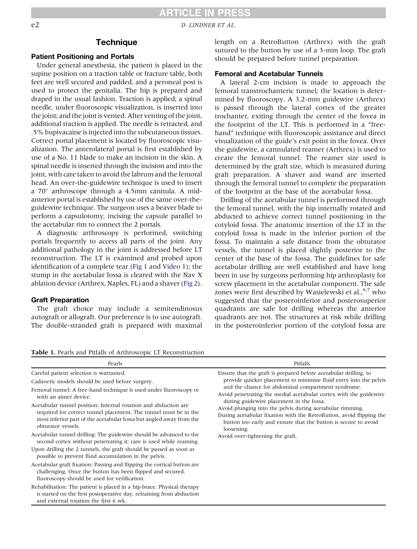## **ARTICLE IN PRESS**

<span id="page-1-0"></span>e2 D. LINDNER ET AL.

### **Technique**

### Patient Positioning and Portals

Under general anesthesia, the patient is placed in the supine position on a traction table or fracture table, both feet are well secured and padded, and a peroneal post is used to protect the genitalia. The hip is prepared and draped in the usual fashion. Traction is applied; a spinal needle, under fluoroscopic visualization, is inserted into the joint; and the joint is vented. After venting of the joint, additional traction is applied. The needle is retracted, and .5% bupivacaine is injected into the subcutaneous tissues. Correct portal placement is located by fluoroscopic visualization. The anterolateral portal is first established by use of a No. 11 blade to make an incision in the skin. A spinal needle is inserted through the incision and into the joint, with care taken to avoid the labrum and the femoral head. An over-the-guidewire technique is used to insert a  $70^\circ$  arthroscope through a 4.5mm cannula. A midanterior portal is established by use of the same over-theguidewire technique. The surgeon uses a beaver blade to perform a capsulotomy, incising the capsule parallel to the acetabular rim to connect the 2 portals.

A diagnostic arthroscopy is performed, switching portals frequently to access all parts of the joint. Any additional pathology in the joint is addressed before LT reconstruction. The LT is examined and probed upon identification of a complete tear ([Fig 1](#page-2-0) and Video 1); the stump in the acetabular fossa is cleared with the Nav X ablation device (Arthrex, Naples, FL) and a shaver [\(Fig 2\)](#page-2-0).

#### Graft Preparation

The graft choice may include a semitendinosus autograft or allograft. Our preference is to use autograft. The double-stranded graft is prepared with maximal length on a RetroButton (Arthrex) with the graft sutured to the button by use of a 3-mm loop. The graft should be prepared before tunnel preparation.

### Femoral and Acetabular Tunnels

A lateral 2-cm incision is made to approach the femoral transtrochanteric tunnel; the location is determined by fluoroscopy. A 3.2-mm guidewire (Arthrex) is passed through the lateral cortex of the greater trochanter, exiting through the center of the fovea in the footprint of the LT. This is performed in a "freehand" technique with fluoroscopic assistance and direct visualization of the guide's exit point in the fovea. Over the guidewire, a cannulated reamer (Arthrex) is used to create the femoral tunnel. The reamer size used is determined by the graft size, which is measured during graft preparation. A shaver and wand are inserted through the femoral tunnel to complete the preparation of the footprint at the base of the acetabular fossa.

Drilling of the acetabular tunnel is performed through the femoral tunnel, with the hip internally rotated and abducted to achieve correct tunnel positioning in the cotyloid fossa. The anatomic insertion of the LT in the cotyloid fossa is made in the inferior portion of the fossa. To maintain a safe distance from the obturator vessels, the tunnel is placed slightly posterior to the center of the base of the fossa. The guidelines for safe acetabular drilling are well established and have long been in use by surgeons performing hip arthroplasty for screw placement in the acetabular component. The safe zones were first described by Wasielewski et al.,<sup>[6,7](#page-4-0)</sup> who suggested that the posteroinferior and posterosuperior quadrants are safe for drilling whereas the anterior quadrants are not. The structures at risk while drilling in the posteroinferior portion of the cotyloid fossa are

| Pearls                                                                                                                                                                                                                                                                                                                                                                                                                                                                                                                                                                                                                                                                                                                                                                                                                                                                                                                                                                                                                                                                                       | Pitfalls                                                                                                                                                                                                                                                                                                                                                                                                                                                                                                                                                             |
|----------------------------------------------------------------------------------------------------------------------------------------------------------------------------------------------------------------------------------------------------------------------------------------------------------------------------------------------------------------------------------------------------------------------------------------------------------------------------------------------------------------------------------------------------------------------------------------------------------------------------------------------------------------------------------------------------------------------------------------------------------------------------------------------------------------------------------------------------------------------------------------------------------------------------------------------------------------------------------------------------------------------------------------------------------------------------------------------|----------------------------------------------------------------------------------------------------------------------------------------------------------------------------------------------------------------------------------------------------------------------------------------------------------------------------------------------------------------------------------------------------------------------------------------------------------------------------------------------------------------------------------------------------------------------|
| Careful patient selection is warranted.<br>Cadaveric models should be used before surgery.<br>Femoral tunnel: A free-hand technique is used under fluoroscopy or<br>with an aimer device.<br>Acetabular tunnel position: Internal rotation and abduction are<br>required for correct tunnel placement. The tunnel must be in the<br>most inferior part of the acetabular fossa but angled away from the<br>obturator vessels.<br>Acetabular tunnel drilling: The guidewire should be advanced to the<br>second cortex without penetrating it; care is used while reaming.<br>Upon drilling the 2 tunnels, the graft should be passed as soon as<br>possible to prevent fluid accumulation in the pelvis.<br>Acetabular graft fixation: Passing and flipping the cortical button are<br>challenging. Once the button has been flipped and secured,<br>fluoroscopy should be used for verification.<br>Rehabilitation: The patient is placed in a hip brace. Physical therapy<br>is started on the first postoperative day, refraining from abduction<br>and external rotation the first 6 wk. | Ensure that the graft is prepared before acetabular drilling, to<br>provide quicker placement to minimize fluid entry into the pelvis<br>and the chance for abdominal compartment syndrome.<br>Avoid penetrating the medial acetabular cortex with the guidewire<br>during guidewire placement in the fossa.<br>Avoid plunging into the pelvis during acetabular rimming.<br>During acetabular fixation with the RetroButton, avoid flipping the<br>button too early and ensure that the button is secure to avoid<br>loosening.<br>Avoid over-tightening the graft. |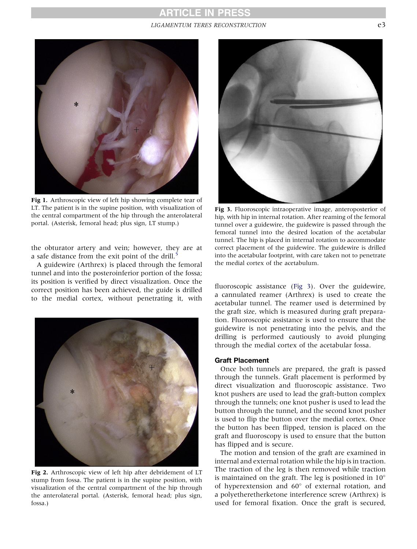### **ARTICLE IN PRESS** LIGAMENTUM TERES RECONSTRUCTION  $e^3$

<span id="page-2-0"></span>

Fig 1. Arthroscopic view of left hip showing complete tear of LT. The patient is in the supine position, with visualization of the central compartment of the hip through the anterolateral portal. (Asterisk, femoral head; plus sign, LT stump.)

the obturator artery and vein; however, they are at a safe distance from the exit point of the drill. $\frac{5}{5}$  $\frac{5}{5}$  $\frac{5}{5}$ 

A guidewire (Arthrex) is placed through the femoral tunnel and into the posteroinferior portion of the fossa; its position is verified by direct visualization. Once the correct position has been achieved, the guide is drilled to the medial cortex, without penetrating it, with



Fig 2. Arthroscopic view of left hip after debridement of LT stump from fossa. The patient is in the supine position, with visualization of the central compartment of the hip through the anterolateral portal. (Asterisk, femoral head; plus sign, fossa.)

![](_page_2_Figure_7.jpeg)

Fig 3. Fluoroscopic intraoperative image, anteroposterior of hip, with hip in internal rotation. After reaming of the femoral tunnel over a guidewire, the guidewire is passed through the femoral tunnel into the desired location of the acetabular tunnel. The hip is placed in internal rotation to accommodate correct placement of the guidewire. The guidewire is drilled into the acetabular footprint, with care taken not to penetrate the medial cortex of the acetabulum.

fluoroscopic assistance (Fig 3). Over the guidewire, a cannulated reamer (Arthrex) is used to create the acetabular tunnel. The reamer used is determined by the graft size, which is measured during graft preparation. Fluoroscopic assistance is used to ensure that the guidewire is not penetrating into the pelvis, and the drilling is performed cautiously to avoid plunging through the medial cortex of the acetabular fossa.

#### Graft Placement

Once both tunnels are prepared, the graft is passed through the tunnels. Graft placement is performed by direct visualization and fluoroscopic assistance. Two knot pushers are used to lead the graft-button complex through the tunnels; one knot pusher is used to lead the button through the tunnel, and the second knot pusher is used to flip the button over the medial cortex. Once the button has been flipped, tension is placed on the graft and fluoroscopy is used to ensure that the button has flipped and is secure.

The motion and tension of the graft are examined in internal and external rotation while the hip is in traction. The traction of the leg is then removed while traction is maintained on the graft. The leg is positioned in  $10^{\circ}$ of hyperextension and  $60^{\circ}$  of external rotation, and a polyetheretherketone interference screw (Arthrex) is used for femoral fixation. Once the graft is secured,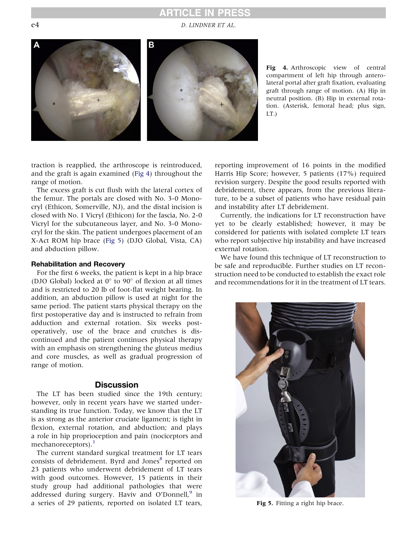## **RTICLE IN PRESS**

e4 D. LINDNER ET AL.

![](_page_3_Figure_2.jpeg)

Fig 4. Arthroscopic view of central compartment of left hip through anterolateral portal after graft fixation, evaluating graft through range of motion. (A) Hip in neutral position. (B) Hip in external rotation. (Asterisk, femoral head; plus sign, LT.)

traction is reapplied, the arthroscope is reintroduced, and the graft is again examined (Fig 4) throughout the range of motion.

The excess graft is cut flush with the lateral cortex of the femur. The portals are closed with No. 3-0 Monocryl (Ethicon, Somerville, NJ), and the distal incision is closed with No. 1 Vicryl (Ethicon) for the fascia, No. 2-0 Vicryl for the subcutaneous layer, and No. 3-0 Monocryl for the skin. The patient undergoes placement of an X-Act ROM hip brace (Fig 5) (DJO Global, Vista, CA) and abduction pillow.

#### Rehabilitation and Recovery

For the first 6 weeks, the patient is kept in a hip brace (DJO Global) locked at  $0^{\circ}$  to  $90^{\circ}$  of flexion at all times and is restricted to 20 lb of foot-flat weight bearing. In addition, an abduction pillow is used at night for the same period. The patient starts physical therapy on the first postoperative day and is instructed to refrain from adduction and external rotation. Six weeks postoperatively, use of the brace and crutches is discontinued and the patient continues physical therapy with an emphasis on strengthening the gluteus medius and core muscles, as well as gradual progression of range of motion.

### **Discussion**

The LT has been studied since the 19th century; however, only in recent years have we started understanding its true function. Today, we know that the LT is as strong as the anterior cruciate ligament; is tight in flexion, external rotation, and abduction; and plays a role in hip proprioception and pain (nociceptors and mechanoreceptors). $<sup>1</sup>$  $<sup>1</sup>$  $<sup>1</sup>$ </sup>

The current standard surgical treatment for LT tears consists of debridement. Byrd and Jones<sup>[8](#page-4-0)</sup> reported on 23 patients who underwent debridement of LT tears with good outcomes. However, 15 patients in their study group had additional pathologies that were addressed during surgery. Haviv and O'Donnell, $9$  in a series of 29 patients, reported on isolated LT tears,

reporting improvement of 16 points in the modified Harris Hip Score; however, 5 patients (17%) required revision surgery. Despite the good results reported with debridement, there appears, from the previous literature, to be a subset of patients who have residual pain and instability after LT debridement.

Currently, the indications for LT reconstruction have yet to be clearly established; however, it may be considered for patients with isolated complete LT tears who report subjective hip instability and have increased external rotation.

We have found this technique of LT reconstruction to be safe and reproducible. Further studies on LT reconstruction need to be conducted to establish the exact role and recommendations for it in the treatment of LT tears.

![](_page_3_Picture_14.jpeg)

Fig 5. Fitting a right hip brace.